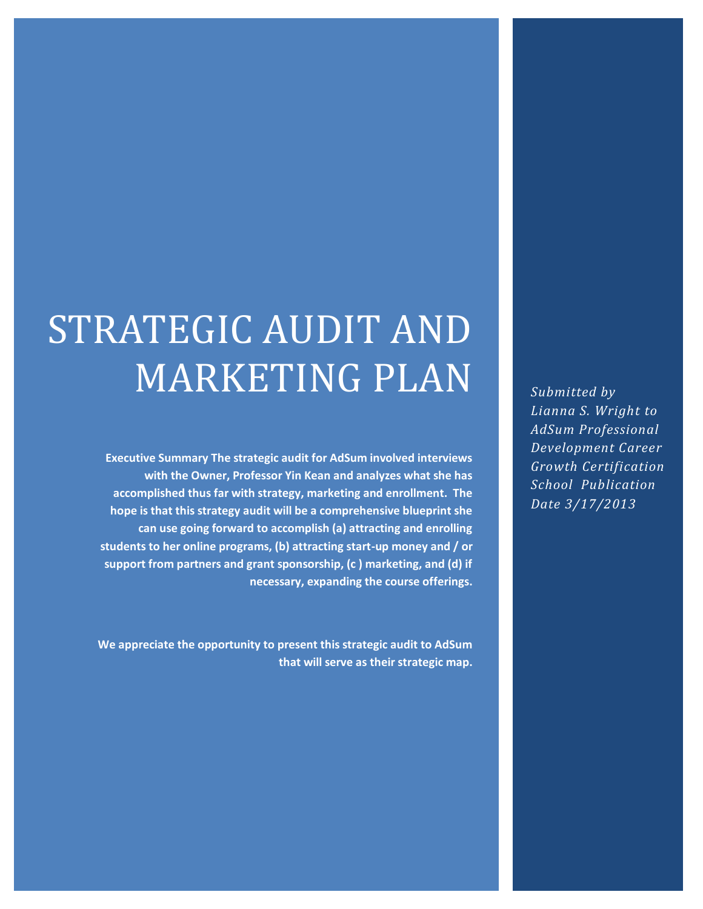# STRATEGIC AUDIT AND MARKETING PLAN

**Executive Summary The strategic audit for AdSum involved interviews with the Owner, Professor Yin Kean and analyzes what she has accomplished thus far with strategy, marketing and enrollment. The hope is that this strategy audit will be a comprehensive blueprint she can use going forward to accomplish (a) attracting and enrolling students to her online programs, (b) attracting start-up money and / or support from partners and grant sponsorship, (c ) marketing, and (d) if necessary, expanding the course offerings.** 

**We appreciate the opportunity to present this strategic audit to AdSum that will serve as their strategic map.** *Submitted by Lianna S. Wright to AdSum Professional Development Career Growth Certification School Publication Date 3/17/2013*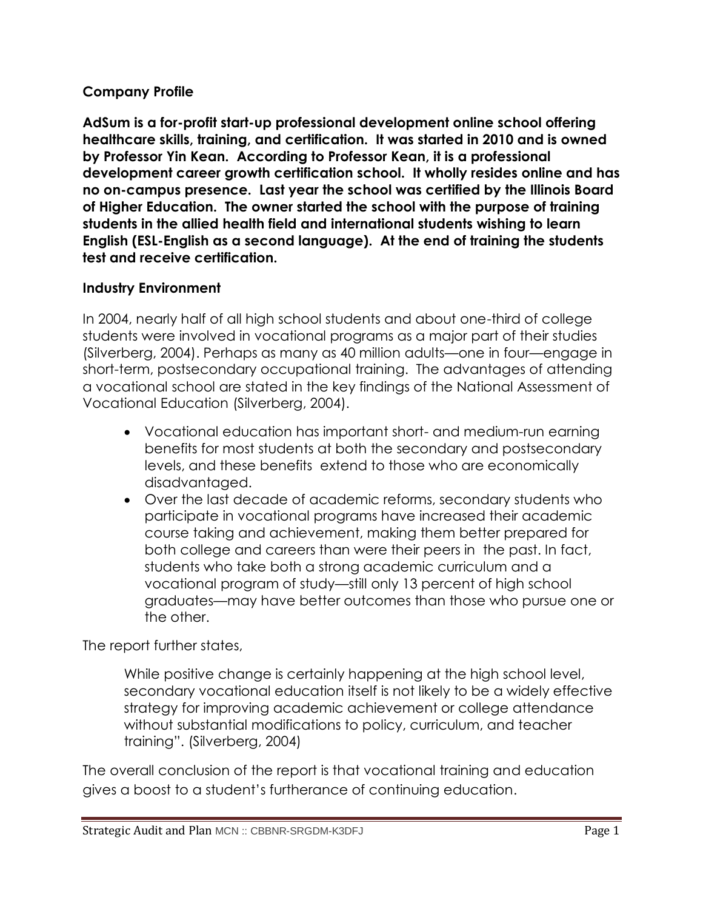#### **Company Profile**

**AdSum is a for-profit start-up professional development online school offering healthcare skills, training, and certification. It was started in 2010 and is owned by Professor Yin Kean. According to Professor Kean, it is a professional development career growth certification school. It wholly resides online and has no on-campus presence. Last year the school was certified by the Illinois Board of Higher Education. The owner started the school with the purpose of training students in the allied health field and international students wishing to learn English (ESL-English as a second language). At the end of training the students test and receive certification.**

#### **Industry Environment**

In 2004, nearly half of all high school students and about one-third of college students were involved in vocational programs as a major part of their studies (Silverberg, 2004). Perhaps as many as 40 million adults—one in four—engage in short-term, postsecondary occupational training. The advantages of attending a vocational school are stated in the key findings of the National Assessment of Vocational Education (Silverberg, 2004).

- Vocational education has important short- and medium-run earning benefits for most students at both the secondary and postsecondary levels, and these benefits extend to those who are economically disadvantaged.
- Over the last decade of academic reforms, secondary students who participate in vocational programs have increased their academic course taking and achievement, making them better prepared for both college and careers than were their peers in the past. In fact, students who take both a strong academic curriculum and a vocational program of study—still only 13 percent of high school graduates—may have better outcomes than those who pursue one or the other.

The report further states,

While positive change is certainly happening at the high school level, secondary vocational education itself is not likely to be a widely effective strategy for improving academic achievement or college attendance without substantial modifications to policy, curriculum, and teacher training". (Silverberg, 2004)

The overall conclusion of the report is that vocational training and education gives a boost to a student's furtherance of continuing education.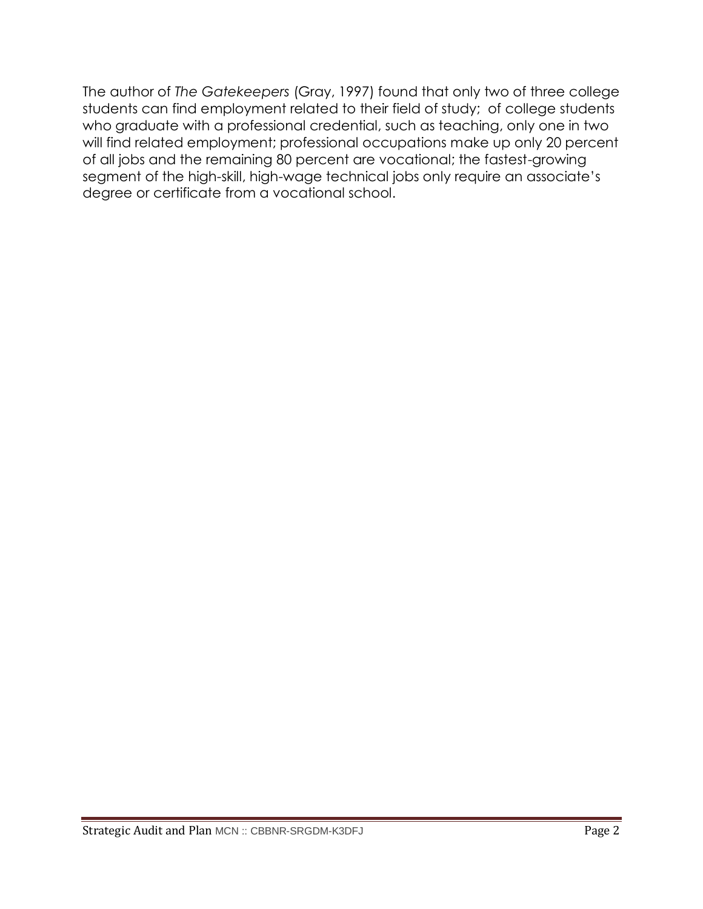The author of *The Gatekeepers* (Gray, 1997) found that only two of three college students can find employment related to their field of study; of college students who graduate with a professional credential, such as teaching, only one in two will find related employment; professional occupations make up only 20 percent of all jobs and the remaining 80 percent are vocational; the fastest-growing segment of the high-skill, high-wage technical jobs only require an associate's degree or certificate from a vocational school.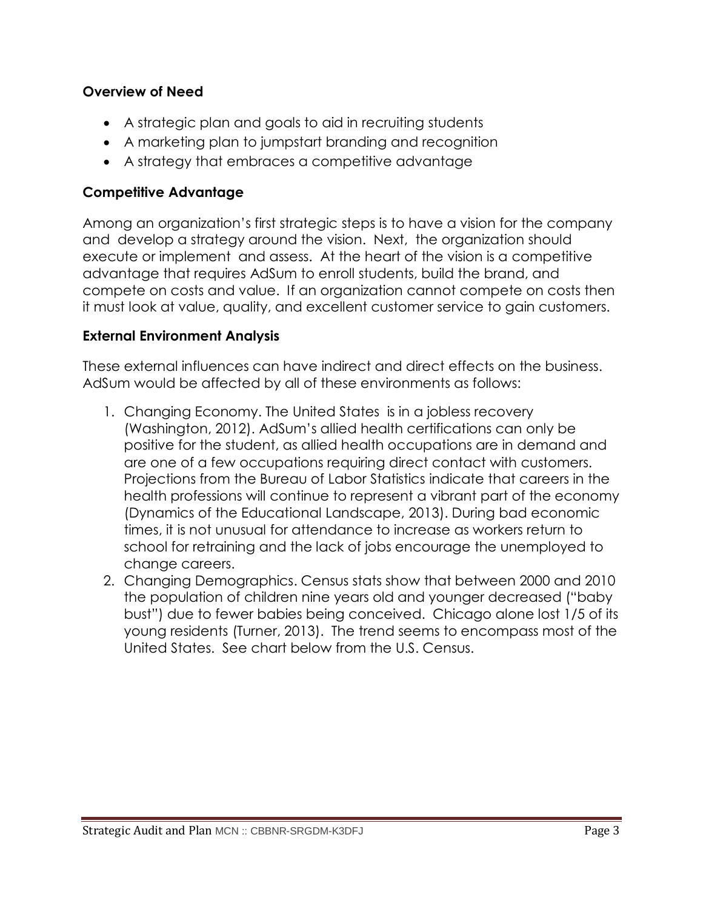#### **Overview of Need**

- A strategic plan and goals to aid in recruiting students
- A marketing plan to jumpstart branding and recognition
- A strategy that embraces a competitive advantage

#### **Competitive Advantage**

Among an organization's first strategic steps is to have a vision for the company and develop a strategy around the vision. Next, the organization should execute or implement and assess. At the heart of the vision is a competitive advantage that requires AdSum to enroll students, build the brand, and compete on costs and value. If an organization cannot compete on costs then it must look at value, quality, and excellent customer service to gain customers.

#### **External Environment Analysis**

These external influences can have indirect and direct effects on the business. AdSum would be affected by all of these environments as follows:

- 1. Changing Economy. The United States is in a jobless recovery (Washington, 2012). AdSum's allied health certifications can only be positive for the student, as allied health occupations are in demand and are one of a few occupations requiring direct contact with customers. Projections from the Bureau of Labor Statistics indicate that careers in the health professions will continue to represent a vibrant part of the economy (Dynamics of the Educational Landscape, 2013). During bad economic times, it is not unusual for attendance to increase as workers return to school for retraining and the lack of jobs encourage the unemployed to change careers.
- 2. Changing Demographics. Census stats show that between 2000 and 2010 the population of children nine years old and younger decreased ("baby bust") due to fewer babies being conceived. Chicago alone lost 1/5 of its young residents (Turner, 2013). The trend seems to encompass most of the United States. See chart below from the U.S. Census.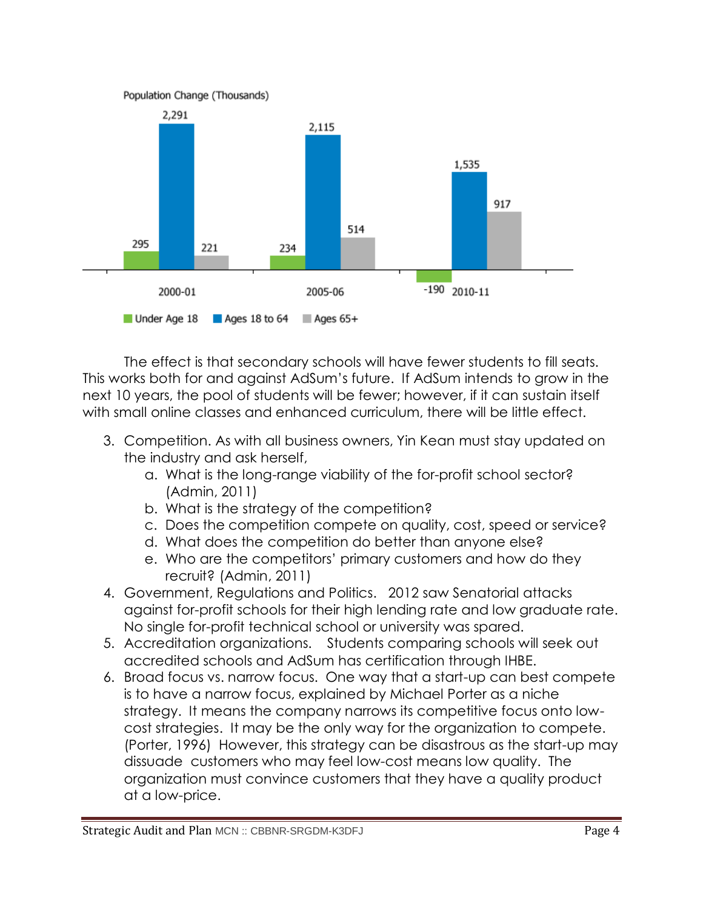

The effect is that secondary schools will have fewer students to fill seats. This works both for and against AdSum's future. If AdSum intends to grow in the next 10 years, the pool of students will be fewer; however, if it can sustain itself with small online classes and enhanced curriculum, there will be little effect.

- 3. Competition. As with all business owners, Yin Kean must stay updated on the industry and ask herself,
	- a. What is the long-range viability of the for-profit school sector? (Admin, 2011)
	- b. What is the strategy of the competition?
	- c. Does the competition compete on quality, cost, speed or service?
	- d. What does the competition do better than anyone else?
	- e. Who are the competitors' primary customers and how do they recruit? (Admin, 2011)
- 4. Government, Regulations and Politics. 2012 saw Senatorial attacks against for-profit schools for their high lending rate and low graduate rate. No single for-profit technical school or university was spared.
- 5. Accreditation organizations. Students comparing schools will seek out accredited schools and AdSum has certification through IHBE.
- 6. Broad focus vs. narrow focus. One way that a start-up can best compete is to have a narrow focus, explained by Michael Porter as a niche strategy. It means the company narrows its competitive focus onto lowcost strategies. It may be the only way for the organization to compete. (Porter, 1996) However, this strategy can be disastrous as the start-up may dissuade customers who may feel low-cost means low quality. The organization must convince customers that they have a quality product at a low-price.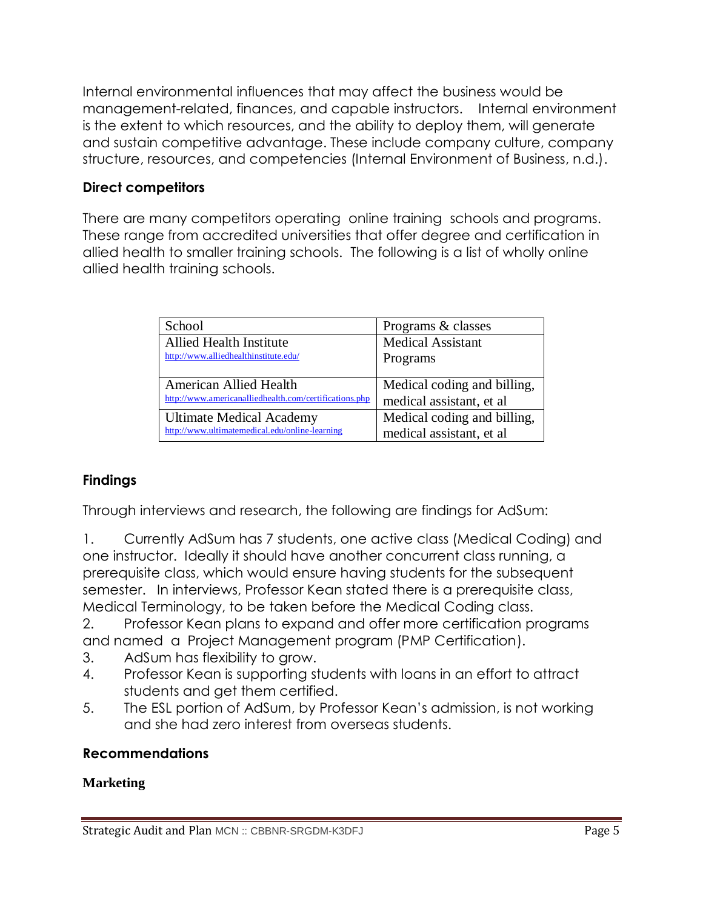Internal environmental influences that may affect the business would be management-related, finances, and capable instructors. Internal environment is the extent to which resources, and the ability to deploy them, will generate and sustain competitive advantage. These include company culture, company structure, resources, and competencies (Internal Environment of Business, n.d.).

## **Direct competitors**

There are many competitors operating online training schools and programs. These range from accredited universities that offer degree and certification in allied health to smaller training schools. The following is a list of wholly online allied health training schools.

| School                                                 | Programs & classes          |
|--------------------------------------------------------|-----------------------------|
| <b>Allied Health Institute</b>                         | <b>Medical Assistant</b>    |
| http://www.alliedhealthinstitute.edu/                  | Programs                    |
|                                                        |                             |
| <b>American Allied Health</b>                          | Medical coding and billing, |
| http://www.americanalliedhealth.com/certifications.php | medical assistant, et al.   |
| <b>Ultimate Medical Academy</b>                        | Medical coding and billing, |
| http://www.ultimatemedical.edu/online-learning         | medical assistant, et al.   |

## **Findings**

Through interviews and research, the following are findings for AdSum:

1. Currently AdSum has 7 students, one active class (Medical Coding) and one instructor. Ideally it should have another concurrent class running, a prerequisite class, which would ensure having students for the subsequent semester. In interviews, Professor Kean stated there is a prerequisite class, Medical Terminology, to be taken before the Medical Coding class.

2. Professor Kean plans to expand and offer more certification programs and named a Project Management program (PMP Certification).

- 3. AdSum has flexibility to grow.
- 4. Professor Kean is supporting students with loans in an effort to attract students and get them certified.
- 5. The ESL portion of AdSum, by Professor Kean's admission, is not working and she had zero interest from overseas students.

#### **Recommendations**

#### **Marketing**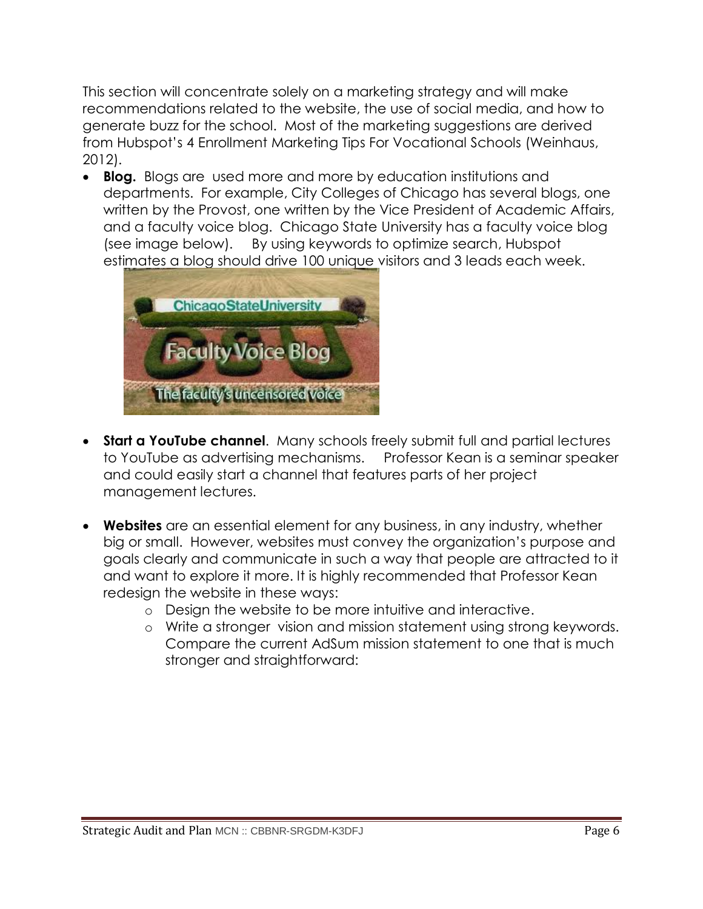This section will concentrate solely on a marketing strategy and will make recommendations related to the website, the use of social media, and how to generate buzz for the school. Most of the marketing suggestions are derived from Hubspot's [4 Enrollment Marketing Tips For Vocational Schools](http://blog.hubspot.com/blog/tabid/6307/bid/7246/4-Enrollment-Marketing-Tips-For-Vocational-Schools.aspx) (Weinhaus, 2012).

 **Blog.** Blogs are used more and more by education institutions and departments. For example, City Colleges of Chicago has several blogs, one written by the Provost, one written by the Vice President of Academic Affairs, and a faculty voice blog. Chicago State University has a faculty voice blog (see image below). By using keywords to optimize search, Hubspot estimates a blog should drive 100 unique visitors and 3 leads each week.



- **Start a YouTube channel**. Many schools freely submit full and partial lectures to YouTube as advertising mechanisms. Professor Kean is a seminar speaker and could easily start a channel that features parts of her project management lectures.
- **Websites** are an essential element for any business, in any industry, whether big or small. However, websites must convey the organization's purpose and goals clearly and communicate in such a way that people are attracted to it and want to explore it more. It is highly recommended that Professor Kean redesign the website in these ways:
	- o Design the website to be more intuitive and interactive.
	- o Write a stronger vision and mission statement using strong keywords. Compare the current AdSum mission statement to one that is much stronger and straightforward: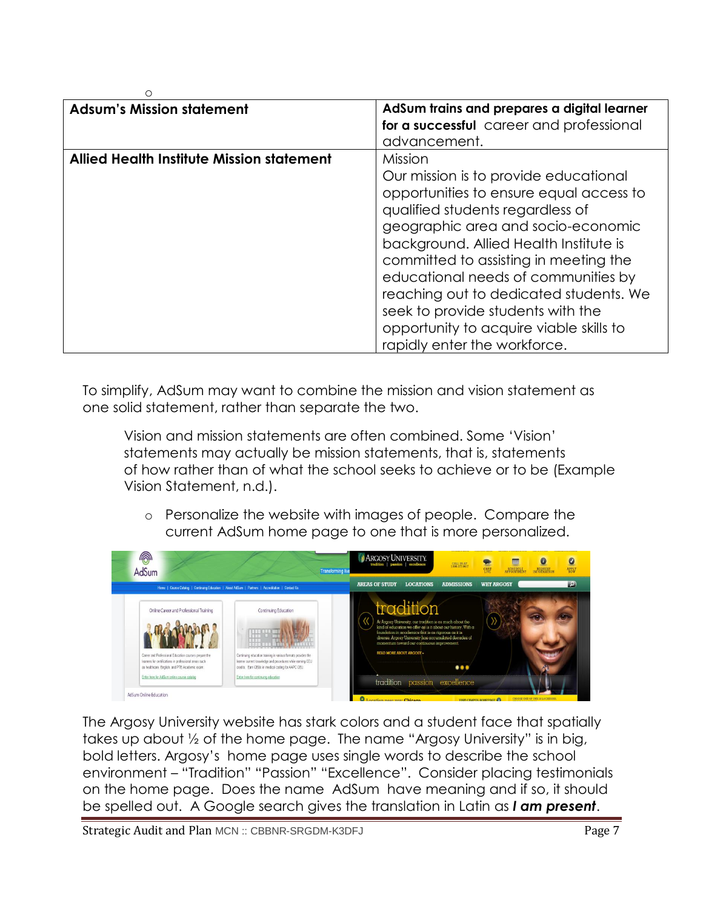| O                                                |                                             |
|--------------------------------------------------|---------------------------------------------|
| <b>Adsum's Mission statement</b>                 | AdSum trains and prepares a digital learner |
|                                                  | for a successful career and professional    |
|                                                  | advancement.                                |
| <b>Allied Health Institute Mission statement</b> | Mission                                     |
|                                                  | Our mission is to provide educational       |
|                                                  | opportunities to ensure equal access to     |
|                                                  | qualified students regardless of            |
|                                                  | geographic area and socio-economic          |
|                                                  | background. Allied Health Institute is      |
|                                                  | committed to assisting in meeting the       |
|                                                  | educational needs of communities by         |
|                                                  | reaching out to dedicated students. We      |
|                                                  | seek to provide students with the           |
|                                                  | opportunity to acquire viable skills to     |
|                                                  | rapidly enter the workforce.                |

To simplify, AdSum may want to combine the mission and vision statement as one solid statement, rather than separate the two.

Vision and mission statements are often combined. Some 'Vision' statements may actually be mission statements, that is, statements of how rather than of what the school seeks to achieve or to be (Example Vision Statement, n.d.).

o Personalize the website with images of people. Compare the current AdSum home page to one that is more personalized.



The Argosy University website has stark colors and a student face that spatially takes up about ½ of the home page. The name "Argosy University" is in big, bold letters. Argosy's home page uses single words to describe the school environment – "Tradition" "Passion" "Excellence". Consider placing testimonials on the home page. Does the name AdSum have meaning and if so, it should be spelled out. A Google search gives the translation in Latin as *I am present*.

Strategic Audit and Plan MCN :: CBBNR-SRGDM-K3DFJ Page 7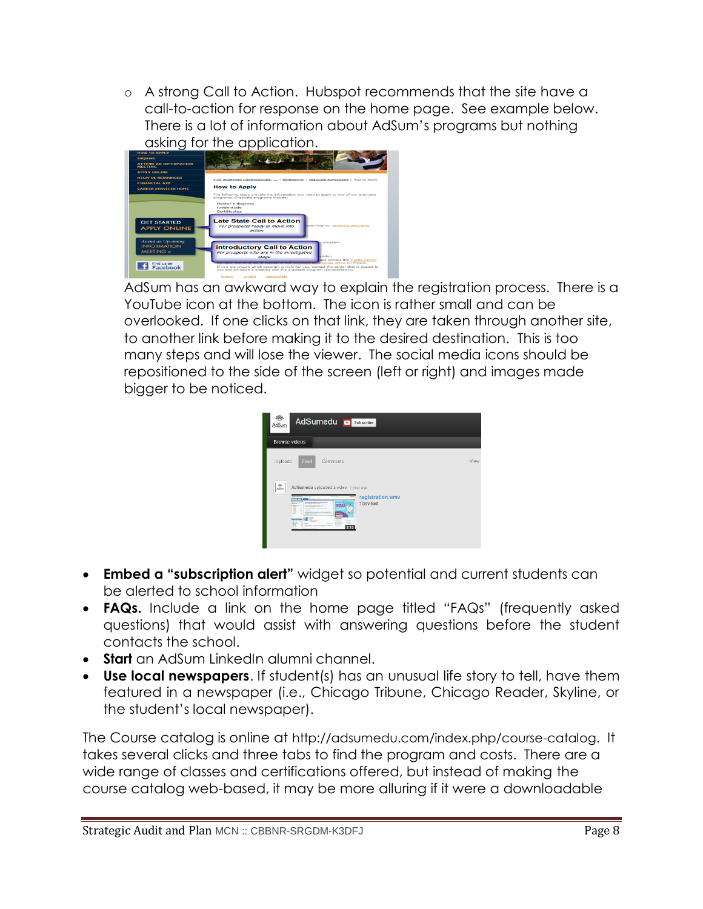o A strong Call to Action. Hubspot recommends that the site have a call-to-action for response on the home page. See example below. There is a lot of information about AdSum's programs but nothing asking for the application.

| <b>HOW TO APPLY</b>                                                                         |                                                                                                                                                                                                                                                                                                                                                                                         |  |
|---------------------------------------------------------------------------------------------|-----------------------------------------------------------------------------------------------------------------------------------------------------------------------------------------------------------------------------------------------------------------------------------------------------------------------------------------------------------------------------------------|--|
| <b>INQUIRE</b>                                                                              |                                                                                                                                                                                                                                                                                                                                                                                         |  |
| <b>ATTEND AN INFORMATION</b><br><b>MEETING</b>                                              |                                                                                                                                                                                                                                                                                                                                                                                         |  |
| <b>APPLY ONLINE</b>                                                                         |                                                                                                                                                                                                                                                                                                                                                                                         |  |
| <b>HELPELH RESOURCES</b>                                                                    | Fully Accredited Undergraduate,  > Admissions > Graduate Admissions > How to Apply                                                                                                                                                                                                                                                                                                      |  |
| <b>FINANCIAL AID</b>                                                                        |                                                                                                                                                                                                                                                                                                                                                                                         |  |
| <b>CAREER SERVICES HOME</b>                                                                 | <b>How to Apply</b>                                                                                                                                                                                                                                                                                                                                                                     |  |
|                                                                                             | The following steps provide the information you need to apply to one of our graduate<br>programs, Graduate programs include:                                                                                                                                                                                                                                                            |  |
|                                                                                             | <b>Master's degrees</b><br>Cendentials<br>Certificates                                                                                                                                                                                                                                                                                                                                  |  |
| <b>GET STARTED</b><br><b>APPLY ONLINE</b>                                                   | <b>Late State Call to Action</b><br>searching our graduate programs<br>For prospects ready to move into<br>action                                                                                                                                                                                                                                                                       |  |
| <b>Attend an Upcoming</b><br><b>INFORMATION</b><br>MEETING<br>Find us on<br><b>Facebook</b> | program.<br><b>Introductory Call to Action</b><br>For prospects who are in the investigative<br>mctor.<br>stage<br>ase contact the Visalia Center<br>missions Office for Fresno.<br>If you are unsure which program is right for you, contact the center that is closest to<br>you and schedule a meeting with the graduate program representative:<br>Bakersfield<br>Visalia<br>Fresno |  |

AdSum has an awkward way to explain the registration process. There is a YouTube icon at the bottom. The icon is rather small and can be overlooked. If one clicks on that link, they are taken through another site, to another link before making it to the desired destination. This is too many steps and will lose the viewer. The social media icons should be repositioned to the side of the screen (left or right) and images made bigger to be noticed.

| AdSumedu <b>D</b> Subscribe<br>AdSum<br><b>Browse videos</b>                                                                                                                                                                                                                                                                                                                                                                        |                               |
|-------------------------------------------------------------------------------------------------------------------------------------------------------------------------------------------------------------------------------------------------------------------------------------------------------------------------------------------------------------------------------------------------------------------------------------|-------------------------------|
| Feed<br>Uploads<br>Comments                                                                                                                                                                                                                                                                                                                                                                                                         | View                          |
| $\frac{1}{2}$<br>Ad Sumedu uploaded a video 1 year ago<br>Vanishers and the<br><b>COLOR</b><br><b>Rendered Park on Link Card at</b><br>6 Pillon<br>The contract of the contract of the<br>$rac{1}{2}$<br>The property and the state for the state conduc-<br>泪<br>a formato dop informations.<br>E<br><b>Literature</b><br>÷<br>÷<br><b>COLLEGE</b><br><b>STATE AVENUE</b><br><b>A</b> men<br>雲<br>æ<br><b>Sales R</b><br>-<br>2:12 | registration.wmv<br>108 views |

- **Embed a "subscription alert"** widget so potential and current students can be alerted to school information
- **FAQs.** Include a link on the home page titled "FAQs" (frequently asked questions) that would assist with answering questions before the student contacts the school.
- **Start** an AdSum LinkedIn alumni channel.
- **Use local newspapers**. If student(s) has an unusual life story to tell, have them featured in a newspaper (i.e., Chicago Tribune, Chicago Reader, Skyline, or the student's local newspaper).

The Course catalog is online at <http://adsumedu.com/index.php/course-catalog>. It takes several clicks and three tabs to find the program and costs. There are a wide range of classes and certifications offered, but instead of making the course catalog web-based, it may be more alluring if it were a downloadable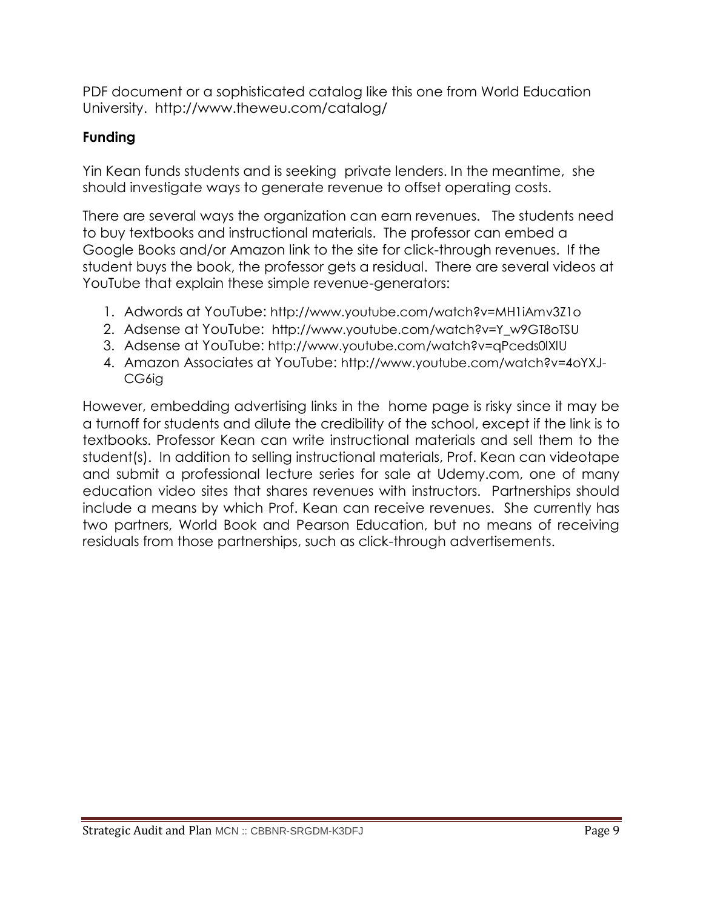PDF document or a sophisticated catalog like this one from World Education University. <http://www.theweu.com/catalog/>

#### **Funding**

Yin Kean funds students and is seeking private lenders. In the meantime, she should investigate ways to generate revenue to offset operating costs.

There are several ways the organization can earn revenues. The students need to buy textbooks and instructional materials. The professor can embed a Google Books and/or Amazon link to the site for click-through revenues. If the student buys the book, the professor gets a residual. There are several videos at YouTube that explain these simple revenue-generators:

- 1. Adwords at YouTube: http://www.youtube.com/watch?v=MH1iAmv3Z1o
- 2. Adsense at YouTube: [http://www.youtube.com/watch?v=Y\\_w9GT8oTSU](http://www.youtube.com/watch?v=Y_w9GT8oTSU)
- 3. Adsense at YouTube: <http://www.youtube.com/watch?v=qPceds0lXlU>
- 4. Amazon Associates at YouTube: [http://www.youtube.com/watch?v=4oYXJ-](http://www.youtube.com/watch?v=4oYXJ-CG6ig)[CG6ig](http://www.youtube.com/watch?v=4oYXJ-CG6ig)

However, embedding advertising links in the home page is risky since it may be a turnoff for students and dilute the credibility of the school, except if the link is to textbooks. Professor Kean can write instructional materials and sell them to the student(s). In addition to selling instructional materials, Prof. Kean can videotape and submit a professional lecture series for sale at Udemy.com, one of many education video sites that shares revenues with instructors. Partnerships should include a means by which Prof. Kean can receive revenues. She currently has two partners, World Book and Pearson Education, but no means of receiving residuals from those partnerships, such as click-through advertisements.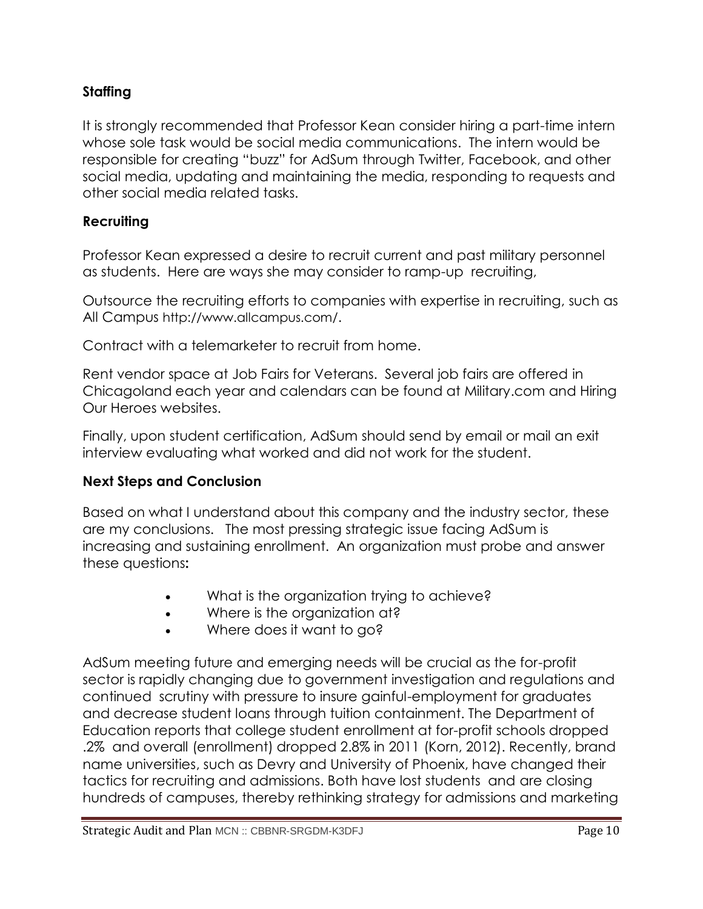### **Staffing**

It is strongly recommended that Professor Kean consider hiring a part-time intern whose sole task would be social media communications. The intern would be responsible for creating "buzz" for AdSum through Twitter, Facebook, and other social media, updating and maintaining the media, responding to requests and other social media related tasks.

#### **Recruiting**

Professor Kean expressed a desire to recruit current and past military personnel as students. Here are ways she may consider to ramp-up recruiting,

Outsource the recruiting efforts to companies with expertise in recruiting, such as All Campus <http://www.allcampus.com/>.

Contract with a telemarketer to recruit from home.

Rent vendor space at Job Fairs for Veterans. Several job fairs are offered in Chicagoland each year and calendars can be found at Military.com and Hiring Our Heroes websites.

Finally, upon student certification, AdSum should send by email or mail an exit interview evaluating what worked and did not work for the student.

#### **Next Steps and Conclusion**

Based on what I understand about this company and the industry sector, these are my conclusions. The most pressing strategic issue facing AdSum is increasing and sustaining enrollment. An organization must probe and answer these questions**:**

- What is the organization trying to achieve?
- Where is the organization at?
- Where does it want to go?

AdSum meeting future and emerging needs will be crucial as the for-profit sector is rapidly changing due to government investigation and regulations and continued scrutiny with pressure to insure gainful-employment for graduates and decrease student loans through tuition containment. The Department of Education reports that college student enrollment at for-profit schools dropped .2% and overall (enrollment) dropped 2.8% in 2011 (Korn, 2012). Recently, brand name universities, such as Devry and University of Phoenix, have changed their tactics for recruiting and admissions. Both have lost students and are closing hundreds of campuses, thereby rethinking strategy for admissions and marketing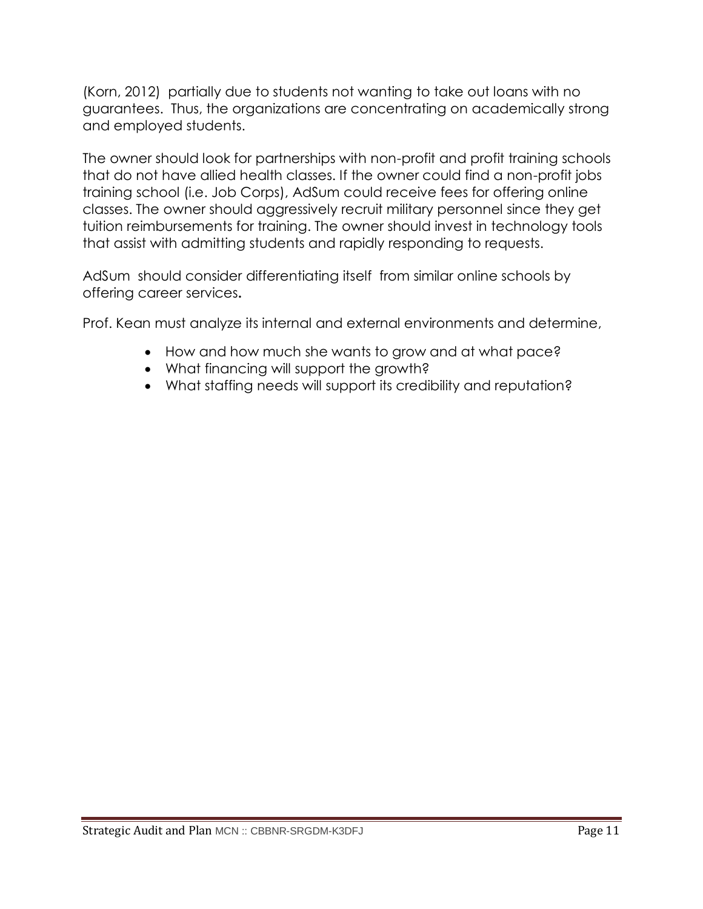(Korn, 2012) partially due to students not wanting to take out loans with no guarantees. Thus, the organizations are concentrating on academically strong and employed students.

The owner should look for partnerships with non-profit and profit training schools that do not have allied health classes. If the owner could find a non-profit jobs training school (i.e. Job Corps), AdSum could receive fees for offering online classes. The owner should aggressively recruit military personnel since they get tuition reimbursements for training. The owner should invest in technology tools that assist with admitting students and rapidly responding to requests.

AdSum should consider differentiating itself from similar online schools by offering career services**.** 

Prof. Kean must analyze its internal and external environments and determine,

- How and how much she wants to grow and at what pace?
- What financing will support the growth?
- What staffing needs will support its credibility and reputation?